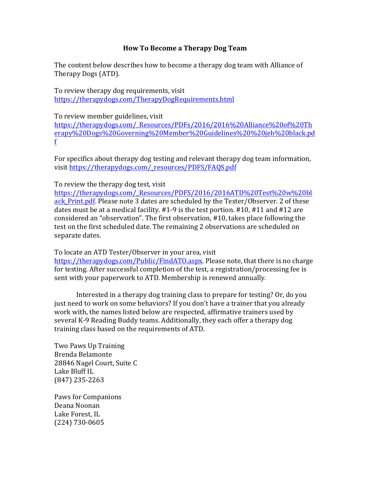## **How To Become a Therapy Dog Team**

The content below describes how to become a therapy dog team with Alliance of Therapy Dogs (ATD).

To review therapy dog requirements, visit https://therapydogs.com/TherapyDogRequirements.html

To review member guidelines, visit

https://therapydogs.com/\_Resources/PDFs/2016/2016%20Alliance%20of%20Th erapy%20Dogs%20Governing%20Member%20Guidelines%20%20jeh%20black.pd f

For specifics about therapy dog testing and relevant therapy dog team information, visit https://therapydogs.com/\_resources/PDFS/FAQS.pdf

## To review the therapy dog test, visit

https://therapydogs.com/\_Resources/PDFS/2016/2016ATD%20Test%20w%20bl ack Print.pdf. Please note 3 dates are scheduled by the Tester/Observer. 2 of these dates must be at a medical facility.  $#1-9$  is the test portion.  $#10$ ,  $#11$  and  $#12$  are considered an "observation". The first observation, #10, takes place following the test on the first scheduled date. The remaining 2 observations are scheduled on separate dates.

To locate an ATD Tester/Observer in your area, visit

https://therapydogs.com/Public/FindATO.aspx. Please note, that there is no charge for testing. After successful completion of the test, a registration/processing fee is sent with your paperwork to ATD. Membership is renewed annually.

Interested in a therapy dog training class to prepare for testing? Or, do you just need to work on some behaviors? If you don't have a trainer that you already work with, the names listed below are respected, affirmative trainers used by several K-9 Reading Buddy teams. Additionally, they each offer a therapy dog training class based on the requirements of ATD.

Two Paws Up Training Brenda Belamonte 28846 Nagel Court, Suite C Lake Bluff IL (847) 235-2263

Paws for Companions Deana Noonan Lake Forest, IL (224) 730-0605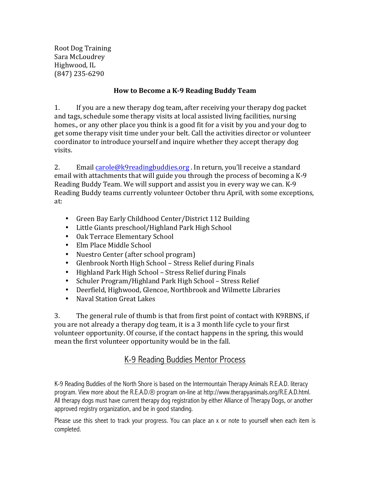Root Dog Training Sara McLoudrey Highwood, IL (847) 235-6290

## **How to Become a K-9 Reading Buddy Team**

1. If you are a new therapy dog team, after receiving your therapy dog packet and tags, schedule some therapy visits at local assisted living facilities, nursing homes, or any other place you think is a good fit for a visit by you and your dog to get some therapy visit time under your belt. Call the activities director or volunteer coordinator to introduce yourself and inquire whether they accept therapy dog visits.

2. Email carole@k9readingbuddies.org . In return, you'll receive a standard email with attachments that will guide you through the process of becoming a K-9 Reading Buddy Team. We will support and assist you in every way we can. K-9 Reading Buddy teams currently volunteer October thru April, with some exceptions, at: 

- Green Bay Early Childhood Center/District 112 Building
- Little Giants preschool/Highland Park High School
- Oak Terrace Elementary School
- Elm Place Middle School
- Nuestro Center (after school program)
- Glenbrook North High School Stress Relief during Finals
- Highland Park High School Stress Relief during Finals
- Schuler Program/Highland Park High School Stress Relief
- Deerfield, Highwood, Glencoe, Northbrook and Wilmette Libraries
- Naval Station Great Lakes

3. The general rule of thumb is that from first point of contact with K9RBNS, if you are not already a therapy dog team, it is a 3 month life cycle to your first volunteer opportunity. Of course, if the contact happens in the spring, this would mean the first volunteer opportunity would be in the fall.

## K-9 Reading Buddies Mentor Process

K-9 Reading Buddies of the North Shore is based on the Intermountain Therapy Animals R.E.A.D. literacy program. View more about the R.E.A.D.® program on-line at http://www.therapyanimals.org/R.E.A.D.html. All therapy dogs must have current therapy dog registration by either Alliance of Therapy Dogs, or another approved registry organization, and be in good standing.

Please use this sheet to track your progress. You can place an x or note to yourself when each item is completed.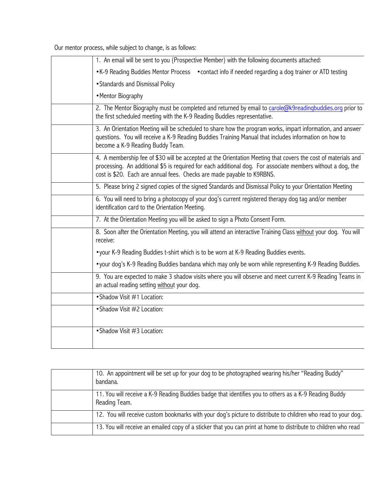Our mentor process, while subject to change, is as follows:

| 1. An email will be sent to you (Prospective Member) with the following documents attached:                                                                                                                                                                                                            |
|--------------------------------------------------------------------------------------------------------------------------------------------------------------------------------------------------------------------------------------------------------------------------------------------------------|
| • K-9 Reading Buddies Mentor Process • contact info if needed regarding a dog trainer or ATD testing                                                                                                                                                                                                   |
| • Standards and Dismissal Policy                                                                                                                                                                                                                                                                       |
| • Mentor Biography                                                                                                                                                                                                                                                                                     |
| 2. The Mentor Biography must be completed and returned by email to carole@k9readingbuddies.org prior to<br>the first scheduled meeting with the K-9 Reading Buddies representative.                                                                                                                    |
| 3. An Orientation Meeting will be scheduled to share how the program works, impart information, and answer<br>questions. You will receive a K-9 Reading Buddies Training Manual that includes information on how to<br>become a K-9 Reading Buddy Team.                                                |
| 4. A membership fee of \$30 will be accepted at the Orientation Meeting that covers the cost of materials and<br>processing. An additional \$5 is required for each additional dog. For associate members without a dog, the<br>cost is \$20. Each are annual fees. Checks are made payable to K9RBNS. |
| 5. Please bring 2 signed copies of the signed Standards and Dismissal Policy to your Orientation Meeting                                                                                                                                                                                               |
| 6. You will need to bring a photocopy of your dog's current registered therapy dog tag and/or member<br>identification card to the Orientation Meeting.                                                                                                                                                |
| 7. At the Orientation Meeting you will be asked to sign a Photo Consent Form.                                                                                                                                                                                                                          |
| 8. Soon after the Orientation Meeting, you will attend an interactive Training Class without your dog. You will<br>receive:                                                                                                                                                                            |
| • your K-9 Reading Buddies t-shirt which is to be worn at K-9 Reading Buddies events.                                                                                                                                                                                                                  |
| • your dog's K-9 Reading Buddies bandana which may only be worn while representing K-9 Reading Buddies.                                                                                                                                                                                                |
| 9. You are expected to make 3 shadow visits where you will observe and meet current K-9 Reading Teams in<br>an actual reading setting without your dog.                                                                                                                                                |
| • Shadow Visit #1 Location:                                                                                                                                                                                                                                                                            |
| • Shadow Visit #2 Location:                                                                                                                                                                                                                                                                            |
| • Shadow Visit #3 Location:                                                                                                                                                                                                                                                                            |

| 10. An appointment will be set up for your dog to be photographed wearing his/her "Reading Buddy"<br>bandana.          |
|------------------------------------------------------------------------------------------------------------------------|
| 11. You will receive a K-9 Reading Buddies badge that identifies you to others as a K-9 Reading Buddy<br>Reading Team. |
| 12. You will receive custom bookmarks with your dog's picture to distribute to children who read to your dog.          |
| 13. You will receive an emailed copy of a sticker that you can print at home to distribute to children who read        |